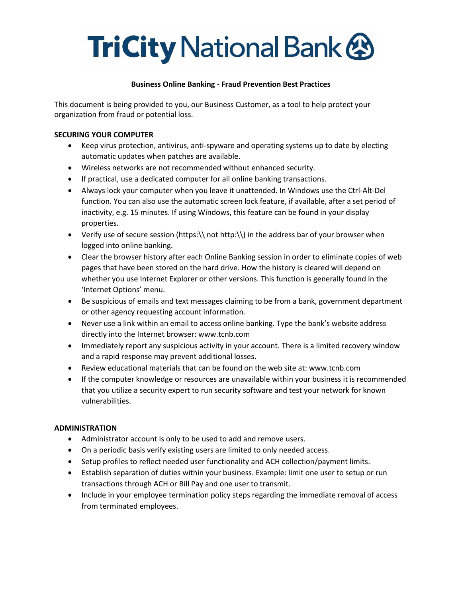# **TriCity National Bank &**

### **Business Online Banking - Fraud Prevention Best Practices**

This document is being provided to you, our Business Customer, as a tool to help protect your organization from fraud or potential loss.

### **SECURING YOUR COMPUTER**

- Keep virus protection, antivirus, anti-spyware and operating systems up to date by electing automatic updates when patches are available.
- Wireless networks are not recommended without enhanced security.
- If practical, use a dedicated computer for all online banking transactions.
- Always lock your computer when you leave it unattended. In Windows use the Ctrl-Alt-Del function. You can also use the automatic screen lock feature, if available, after a set period of inactivity, e.g. 15 minutes. If using Windows, this feature can be found in your display properties.
- Verify use of secure session (https:\\ not http:\\) in the address bar of your browser when logged into online banking.
- Clear the browser history after each Online Banking session in order to eliminate copies of web pages that have been stored on the hard drive. How the history is cleared will depend on whether you use Internet Explorer or other versions. This function is generally found in the 'Internet Options' menu.
- Be suspicious of emails and text messages claiming to be from a bank, government department or other agency requesting account information.
- Never use a link within an email to access online banking. Type the bank's website address directly into the Internet browser: www.tcnb.com
- Immediately report any suspicious activity in your account. There is a limited recovery window and a rapid response may prevent additional losses.
- Review educational materials that can be found on the web site at: www.tcnb.com
- If the computer knowledge or resources are unavailable within your business it is recommended that you utilize a security expert to run security software and test your network for known vulnerabilities.

## **ADMINISTRATION**

- Administrator account is only to be used to add and remove users.
- On a periodic basis verify existing users are limited to only needed access.
- Setup profiles to reflect needed user functionality and ACH collection/payment limits.
- Establish separation of duties within your business. Example: limit one user to setup or run transactions through ACH or Bill Pay and one user to transmit.
- Include in your employee termination policy steps regarding the immediate removal of access from terminated employees.